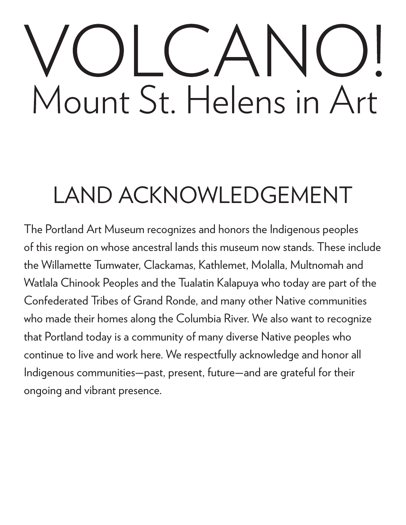# Mount St. Helens in Art

# LAND ACKNOWLEDGEMENT

The Portland Art Museum recognizes and honors the Indigenous peoples of this region on whose ancestral lands this museum now stands. These include the Willamette Tumwater, Clackamas, Kathlemet, Molalla, Multnomah and Watlala Chinook Peoples and the Tualatin Kalapuya who today are part of the Confederated Tribes of Grand Ronde, and many other Native communities who made their homes along the Columbia River. We also want to recognize that Portland today is a community of many diverse Native peoples who continue to live and work here. We respectfully acknowledge and honor all Indigenous communities—past, present, future—and are grateful for their ongoing and vibrant presence.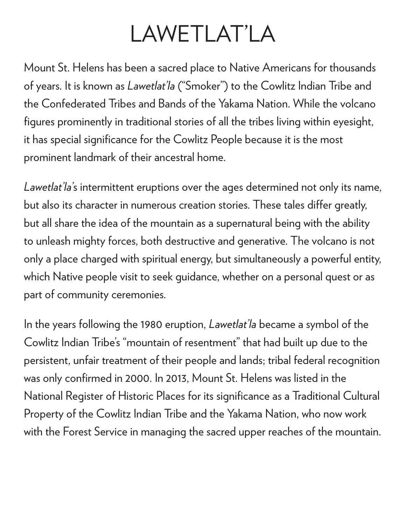### LAWETLAT'LA

Mount St. Helens has been a sacred place to Native Americans for thousands of years. It is known as *Lawetlat'la* ("Smoker") to the Cowlitz Indian Tribe and the Confederated Tribes and Bands of the Yakama Nation. While the volcano figures prominently in traditional stories of all the tribes living within eyesight, it has special significance for the Cowlitz People because it is the most prominent landmark of their ancestral home.

*Lawetlat'la'*s intermittent eruptions over the ages determined not only its name, but also its character in numerous creation stories. These tales differ greatly, but all share the idea of the mountain as a supernatural being with the ability to unleash mighty forces, both destructive and generative. The volcano is not only a place charged with spiritual energy, but simultaneously a powerful entity, which Native people visit to seek guidance, whether on a personal quest or as part of community ceremonies.

In the years following the 1980 eruption, *Lawetlat'la* became a symbol of the Cowlitz Indian Tribe's "mountain of resentment" that had built up due to the persistent, unfair treatment of their people and lands; tribal federal recognition was only confirmed in 2000. In 2013, Mount St. Helens was listed in the National Register of Historic Places for its significance as a Traditional Cultural Property of the Cowlitz Indian Tribe and the Yakama Nation, who now work with the Forest Service in managing the sacred upper reaches of the mountain.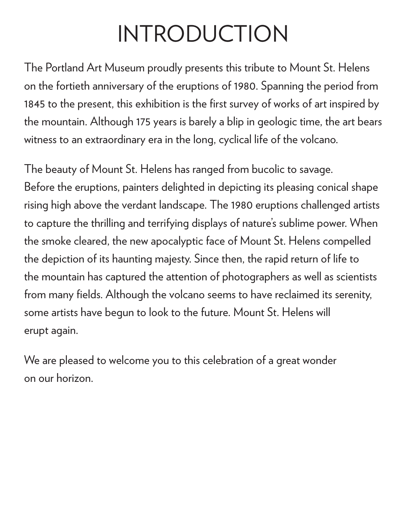## INTRODUCTION

The Portland Art Museum proudly presents this tribute to Mount St. Helens on the fortieth anniversary of the eruptions of 1980. Spanning the period from 1845 to the present, this exhibition is the first survey of works of art inspired by the mountain. Although 175 years is barely a blip in geologic time, the art bears witness to an extraordinary era in the long, cyclical life of the volcano.

The beauty of Mount St. Helens has ranged from bucolic to savage. Before the eruptions, painters delighted in depicting its pleasing conical shape rising high above the verdant landscape. The 1980 eruptions challenged artists to capture the thrilling and terrifying displays of nature's sublime power. When the smoke cleared, the new apocalyptic face of Mount St. Helens compelled the depiction of its haunting majesty. Since then, the rapid return of life to the mountain has captured the attention of photographers as well as scientists from many fields. Although the volcano seems to have reclaimed its serenity, some artists have begun to look to the future. Mount St. Helens will erupt again.

We are pleased to welcome you to this celebration of a great wonder on our horizon.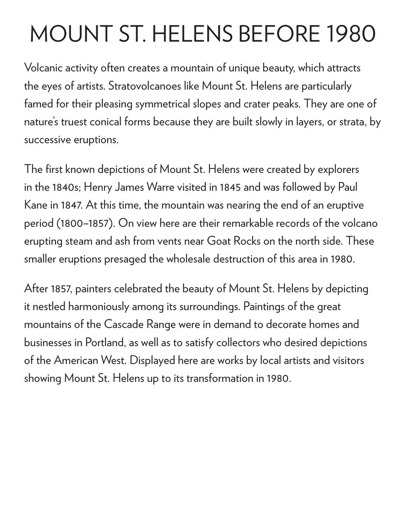# MOUNT ST. HELENS BEFORE 1980

Volcanic activity often creates a mountain of unique beauty, which attracts the eyes of artists. Stratovolcanoes like Mount St. Helens are particularly famed for their pleasing symmetrical slopes and crater peaks. They are one of nature's truest conical forms because they are built slowly in layers, or strata, by successive eruptions.

The first known depictions of Mount St. Helens were created by explorers in the 1840s; Henry James Warre visited in 1845 and was followed by Paul Kane in 1847. At this time, the mountain was nearing the end of an eruptive period (1800–1857). On view here are their remarkable records of the volcano erupting steam and ash from vents near Goat Rocks on the north side. These smaller eruptions presaged the wholesale destruction of this area in 1980.

After 1857, painters celebrated the beauty of Mount St. Helens by depicting it nestled harmoniously among its surroundings. Paintings of the great mountains of the Cascade Range were in demand to decorate homes and businesses in Portland, as well as to satisfy collectors who desired depictions of the American West. Displayed here are works by local artists and visitors showing Mount St. Helens up to its transformation in 1980.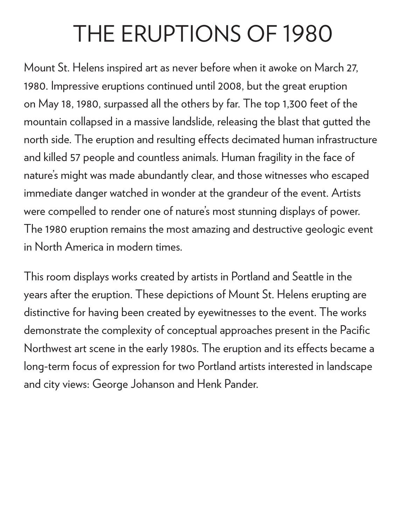## THE ERUPTIONS OF 1980

Mount St. Helens inspired art as never before when it awoke on March 27, 1980. Impressive eruptions continued until 2008, but the great eruption on May 18, 1980, surpassed all the others by far. The top 1,300 feet of the mountain collapsed in a massive landslide, releasing the blast that gutted the north side. The eruption and resulting effects decimated human infrastructure and killed 57 people and countless animals. Human fragility in the face of nature's might was made abundantly clear, and those witnesses who escaped immediate danger watched in wonder at the grandeur of the event. Artists were compelled to render one of nature's most stunning displays of power. The 1980 eruption remains the most amazing and destructive geologic event in North America in modern times.

This room displays works created by artists in Portland and Seattle in the years after the eruption. These depictions of Mount St. Helens erupting are distinctive for having been created by eyewitnesses to the event. The works demonstrate the complexity of conceptual approaches present in the Pacific Northwest art scene in the early 1980s. The eruption and its effects became a long-term focus of expression for two Portland artists interested in landscape and city views: George Johanson and Henk Pander.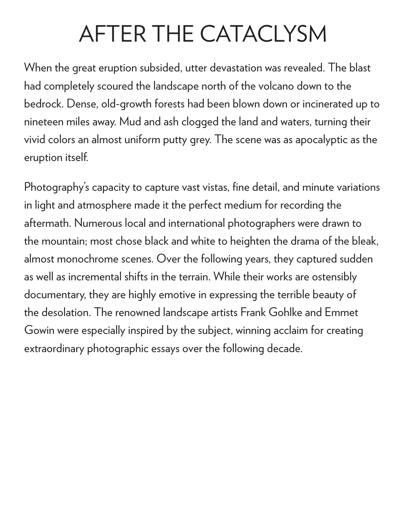# AFTER THE CATACLYSM

When the great eruption subsided, utter devastation was revealed. The blast had completely scoured the landscape north of the volcano down to the bedrock. Dense, old-growth forests had been blown down or incinerated up to nineteen miles away. Mud and ash clogged the land and waters, turning their vivid colors an almost uniform putty grey. The scene was as apocalyptic as the eruption itself.

Photography's capacity to capture vast vistas, fine detail, and minute variations in light and atmosphere made it the perfect medium for recording the aftermath. Numerous local and international photographers were drawn to the mountain; most chose black and white to heighten the drama of the bleak, almost monochrome scenes. Over the following years, they captured sudden as well as incremental shifts in the terrain. While their works are ostensibly documentary, they are highly emotive in expressing the terrible beauty of the desolation. The renowned landscape artists Frank Gohlke and Emmet Gowin were especially inspired by the subject, winning acclaim for creating extraordinary photographic essays over the following decade.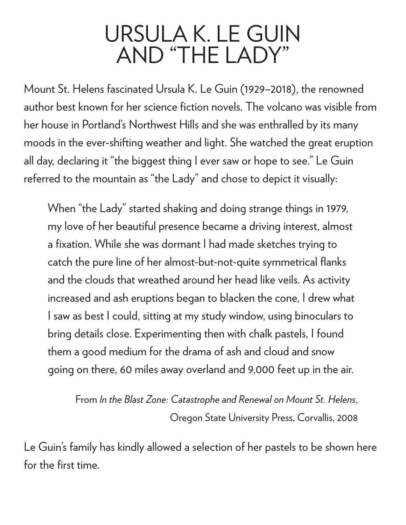#### URSULA K. LE GUIN AND "THE LADY"

Mount St. Helens fascinated Ursula K. Le Guin (1929–2018), the renowned author best known for her science fiction novels. The volcano was visible from her house in Portland's Northwest Hills and she was enthralled by its many moods in the ever-shifting weather and light. She watched the great eruption all day, declaring it "the biggest thing I ever saw or hope to see." Le Guin referred to the mountain as "the Lady" and chose to depict it visually:

When "the Lady" started shaking and doing strange things in 1979, my love of her beautiful presence became a driving interest, almost a fixation. While she was dormant I had made sketches trying to catch the pure line of her almost-but-not-quite symmetrical flanks and the clouds that wreathed around her head like veils. As activity increased and ash eruptions began to blacken the cone, I drew what I saw as best I could, sitting at my study window, using binoculars to bring details close. Experimenting then with chalk pastels, I found them a good medium for the drama of ash and cloud and snow going on there, 60 miles away overland and 9,000 feet up in the air.

From *In the Blast Zone: Catastrophe and Renewal on Mount St. Helens*, Oregon State University Press, Corvallis, 2008

Le Guin's family has kindly allowed a selection of her pastels to be shown here for the first time.